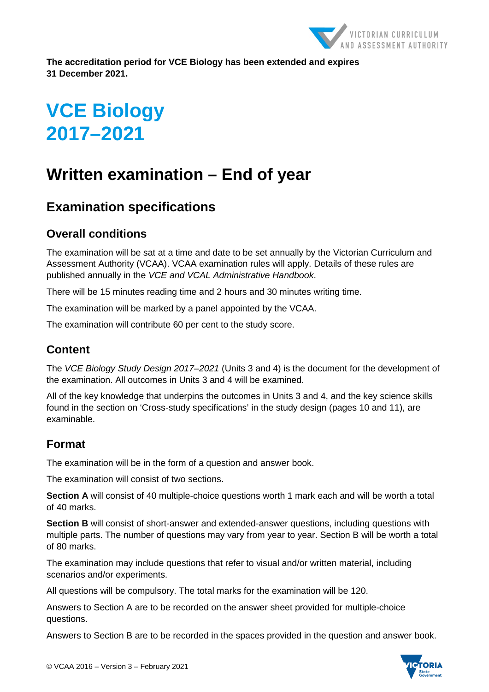

**The accreditation period for VCE Biology has been extended and expires 31 December 2021.**

# **VCE Biology 2017–2021**

# **Written examination – End of year**

# **Examination specifications**

## **Overall conditions**

The examination will be sat at a time and date to be set annually by the Victorian Curriculum and Assessment Authority (VCAA). VCAA examination rules will apply. Details of these rules are published annually in the *VCE and VCAL Administrative Handbook*.

There will be 15 minutes reading time and 2 hours and 30 minutes writing time.

The examination will be marked by a panel appointed by the VCAA.

The examination will contribute 60 per cent to the study score.

# **Content**

The *VCE Biology Study Design 2017–2021* (Units 3 and 4) is the document for the development of the examination. All outcomes in Units 3 and 4 will be examined.

All of the key knowledge that underpins the outcomes in Units 3 and 4, and the key science skills found in the section on 'Cross-study specifications' in the study design (pages 10 and 11), are examinable.

#### **Format**

The examination will be in the form of a question and answer book.

The examination will consist of two sections.

**Section A** will consist of 40 multiple-choice questions worth 1 mark each and will be worth a total of 40 marks.

**Section B** will consist of short-answer and extended-answer questions, including questions with multiple parts. The number of questions may vary from year to year. Section B will be worth a total of 80 marks.

The examination may include questions that refer to visual and/or written material, including scenarios and/or experiments.

All questions will be compulsory. The total marks for the examination will be 120.

Answers to Section A are to be recorded on the answer sheet provided for multiple-choice questions.

Answers to Section B are to be recorded in the spaces provided in the question and answer book.